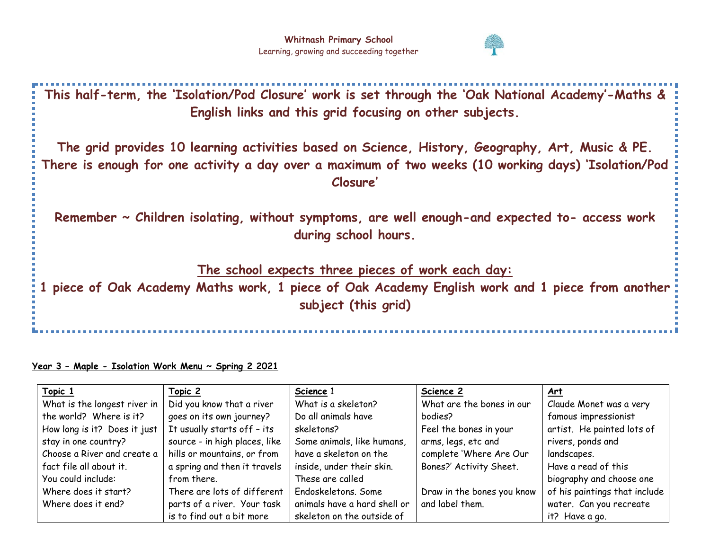

**This half-term, the 'Isolation/Pod Closure' work is set through the 'Oak National Academy'-Maths & English links and this grid focusing on other subjects.** 

**The grid provides 10 learning activities based on Science, History, Geography, Art, Music & PE. There is enough for one activity a day over a maximum of two weeks (10 working days) 'Isolation/Pod Closure'**

**Remember ~ Children isolating, without symptoms, are well enough-and expected to- access work during school hours.** 

**The school expects three pieces of work each day:**

**1 piece of Oak Academy Maths work, 1 piece of Oak Academy English work and 1 piece from another subject (this grid)**

## **Year 3 – Maple - Isolation Work Menu ~ Spring 2 2021**

| Topic 1                      | Topic 2                       | Science 1                    | Science 2                  | <u>Art</u>                    |
|------------------------------|-------------------------------|------------------------------|----------------------------|-------------------------------|
| What is the longest river in | Did you know that a river     | What is a skeleton?          | What are the bones in our  | Claude Monet was a very       |
| the world? Where is it?      | goes on its own journey?      | Do all animals have          | bodies?                    | famous impressionist          |
| How long is it? Does it just | It usually starts off - its   | skeletons?                   | Feel the bones in your     | artist. He painted lots of    |
| stay in one country?         | source - in high places, like | Some animals, like humans,   | arms, legs, etc and        | rivers, ponds and             |
| Choose a River and create a  | hills or mountains, or from   | have a skeleton on the       | complete 'Where Are Our    | landscapes.                   |
| fact file all about it.      | a spring and then it travels  | inside, under their skin.    | Bones?' Activity Sheet.    | Have a read of this           |
| You could include:           | from there.                   | These are called             |                            | biography and choose one      |
| Where does it start?         | There are lots of different   | Endoskeletons, Some          | Draw in the bones you know | of his paintings that include |
| Where does it end?           | parts of a river. Your task   | animals have a hard shell or | and label them.            | water. Can you recreate       |
|                              | is to find out a bit more     | skeleton on the outside of   |                            | it? Have a go.                |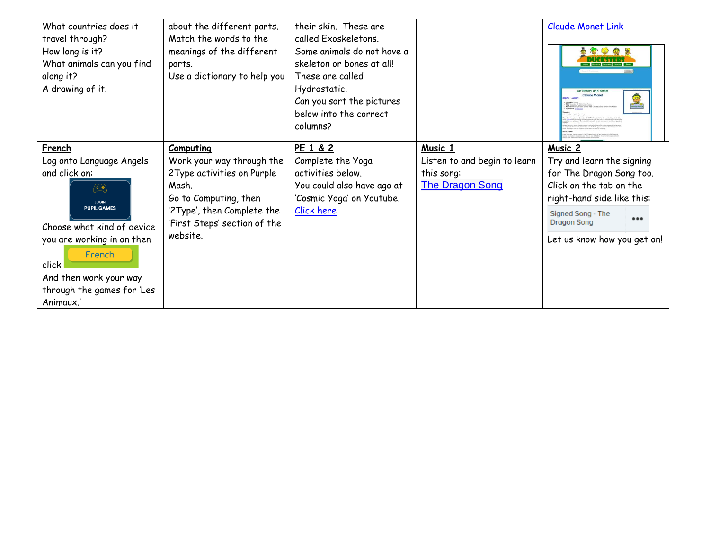| What countries does it     | about the different parts.   | their skin. These are      |                              | <b>Claude Monet Link</b>                       |
|----------------------------|------------------------------|----------------------------|------------------------------|------------------------------------------------|
| travel through?            | Match the words to the       | called Exoskeletons.       |                              |                                                |
| How long is it?            | meanings of the different    | Some animals do not have a |                              | 19 3 3 2                                       |
| What animals can you find  | parts.                       | skeleton or bones at all!  |                              |                                                |
| along it?                  | Use a dictionary to help you | These are called           |                              |                                                |
| A drawing of it.           |                              | Hydrostatic.               |                              | Art History and Artists<br><b>Claude Monet</b> |
|                            |                              | Can you sort the pictures  |                              |                                                |
|                            |                              | below into the correct     |                              |                                                |
|                            |                              | columns?                   |                              |                                                |
|                            |                              |                            |                              |                                                |
| French                     | Computing                    | PE 1 & 2                   | Music 1                      | Music 2                                        |
| Log onto Language Angels   | Work your way through the    | Complete the Yoga          | Listen to and begin to learn | Try and learn the signing                      |
| and click on:              | 2Type activities on Purple   | activities below.          | this song:                   | for The Dragon Song too.                       |
| $(\bar{\mathbb{Z}}^*)$     | Mash.                        | You could also have ago at | <b>The Dragon Song</b>       | Click on the tab on the                        |
| <b>LOGIN</b>               | Go to Computing, then        | 'Cosmic Yoga' on Youtube.  |                              | right-hand side like this:                     |
| <b>PUPIL GAMES</b>         | '2Type', then Complete the   | Click here                 |                              | Signed Song - The                              |
| Choose what kind of device | 'First Steps' section of the |                            |                              | $\bullet\bullet\bullet$<br><b>Dragon Song</b>  |
|                            | website.                     |                            |                              |                                                |
| you are working in on then |                              |                            |                              | Let us know how you get on!                    |
| French                     |                              |                            |                              |                                                |
| click                      |                              |                            |                              |                                                |
| And then work your way     |                              |                            |                              |                                                |
| through the games for 'Les |                              |                            |                              |                                                |
| Animaux.'                  |                              |                            |                              |                                                |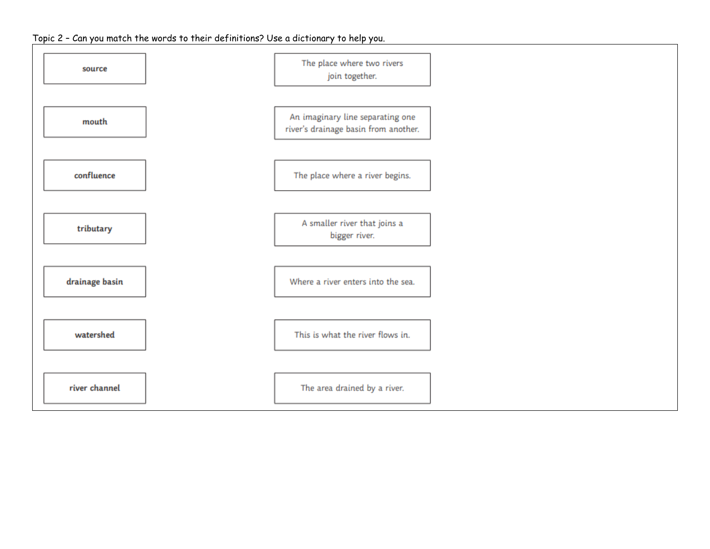## Topic 2 – Can you match the words to their definitions? Use a dictionary to help you.

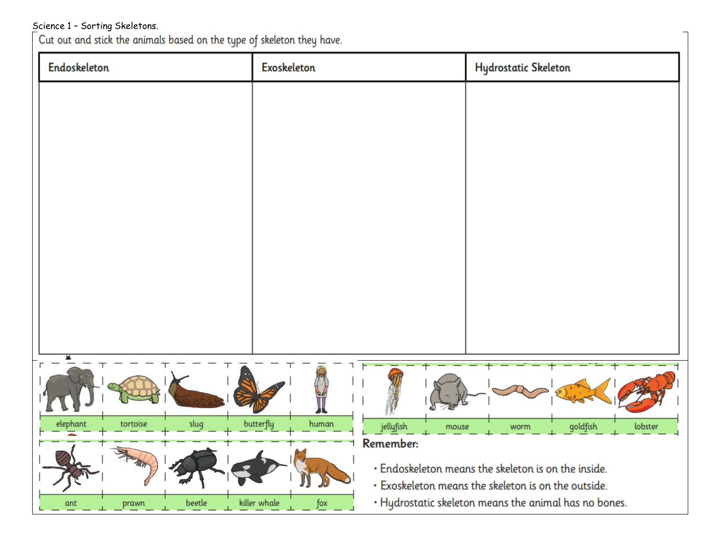Science 1 - Sorting Skeletons.<br>Cut out and stick the animals based on the type of skeleton they have.

| Endoskeleton                 | Exoskeleton                              | <b>Hydrostatic Skeleton</b>                                                                                |  |  |  |
|------------------------------|------------------------------------------|------------------------------------------------------------------------------------------------------------|--|--|--|
|                              |                                          |                                                                                                            |  |  |  |
|                              |                                          |                                                                                                            |  |  |  |
|                              |                                          |                                                                                                            |  |  |  |
|                              |                                          |                                                                                                            |  |  |  |
|                              |                                          |                                                                                                            |  |  |  |
|                              |                                          |                                                                                                            |  |  |  |
|                              |                                          |                                                                                                            |  |  |  |
|                              |                                          |                                                                                                            |  |  |  |
|                              |                                          |                                                                                                            |  |  |  |
|                              |                                          |                                                                                                            |  |  |  |
|                              |                                          |                                                                                                            |  |  |  |
| slug<br>elephant<br>tortoise | butterfly<br>human<br>jellyfish<br>mouse | goldfish<br>lobster<br>worm                                                                                |  |  |  |
| X                            | Remember:                                | · Endoskeleton means the skeleton is on the inside.<br>· Exoskeleton means the skeleton is on the outside. |  |  |  |
| beetle<br>ant<br>prawn       | killer whale<br>fox                      | . Hydrostatic skeleton means the animal has no bones.                                                      |  |  |  |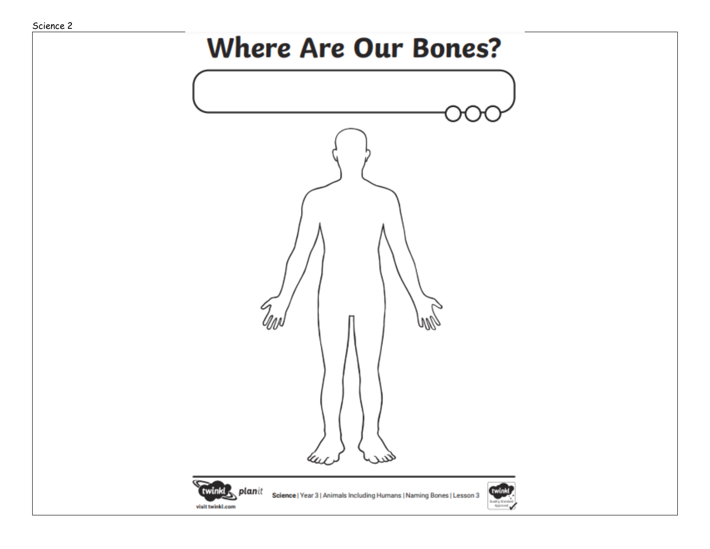## **Where Are Our Bones?**

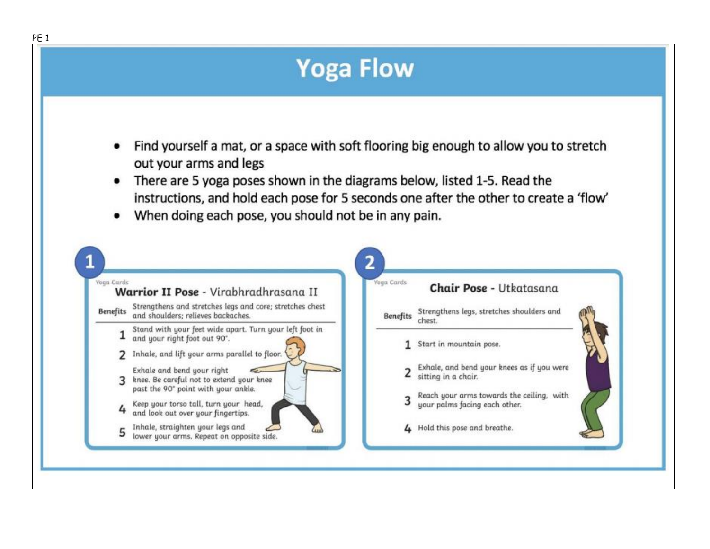